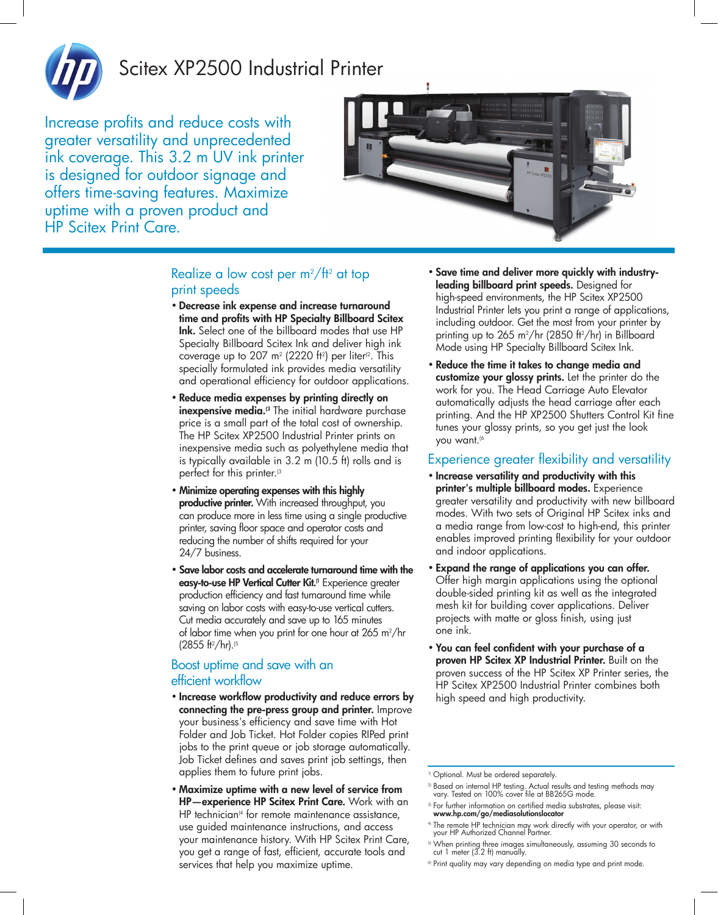

# Scitex XP2500 Industrial Printer

Increase profits and reduce costs with greater versatility and unprecedented ink coverage. This 3.2 m UV ink printer is designed for outdoor signage and offers time-saving features. Maximize uptime with a proven product and HP Scitex Print Care.



### Realize a low cost per m $^2$ /tt $^2$  at top print speeds

- • Decrease ink expense and increase turnaround time and profits with HP Specialty Billboard Scitex Ink. Select one of the billboard modes that use HP Specialty Billboard Scitex Ink and deliver high ink coverage up to 207 m² (2220 ft²) per liter<sup>ız</sup>. This specially formulated ink provides media versatility and operational efficiency for outdoor applications.
- • Reduce media expenses by printing directly on **inexpensive media.**<sup>3</sup> The initial hardware purchase price is a small part of the total cost of ownership. The HP Scitex XP2500 Industrial Printer prints on inexpensive media such as polyethylene media that is typically available in 3.2 m (10.5 ft) rolls and is perfect for this printer.<sup>(3</sup>
- • Minimize operating expenses with this highly productive printer. With increased throughput, you can produce more in less time using a single productive printer, saving floor space and operator costs and reducing the number of shifts required for your 24/7 business.
- • Save labor costs and accelerate turnaround time with the easy-to-use HP Vertical Cutter Kit.<sup>(1</sup> Experience greater production efficiency and fast turnaround time while saving on labor costs with easy-to-use vertical cutters. Cut media accurately and save up to 165 minutes of labor time when you print for one hour at 265 m²/hr (2855 ft2 /hr).(5

### Boost uptime and save with an efficient workflow

- • Increase workflow productivity and reduce errors by connecting the pre-press group and printer. Improve your business's efficiency and save time with Hot Folder and Job Ticket. Hot Folder copies RIPed print jobs to the print queue or job storage automatically. Job Ticket defines and saves print job settings, then applies them to future print jobs.
- • Maximize uptime with a new level of service from HP—experience HP Scitex Print Care. Work with an HP technician $4$  for remote maintenance assistance, use guided maintenance instructions, and access your maintenance history. With HP Scitex Print Care, you get a range of fast, efficient, accurate tools and services that help you maximize uptime.
- • Save time and deliver more quickly with industryleading billboard print speeds. Designed for high-speed environments, the HP Scitex XP2500 Industrial Printer lets you print a range of applications, including outdoor. Get the most from your printer by printing up to 265 m2 /hr (2850 ft2 /hr) in Billboard Mode using HP Specialty Billboard Scitex Ink.
- • Reduce the time it takes to change media and customize your glossy prints. Let the printer do the work for you. The Head Carriage Auto Elevator automatically adjusts the head carriage after each printing. And the HP XP2500 Shutters Control Kit fine tunes your glossy prints, so you get just the look you want.<sup>(6</sup>

### Experience greater flexibility and versatility

- • Increase versatility and productivity with this printer's multiple billboard modes. Experience greater versatility and productivity with new billboard modes. With two sets of Original HP Scitex inks and a media range from low-cost to high-end, this printer enables improved printing flexibility for your outdoor and indoor applications.
- • Expand the range of applications you can offer. Offer high margin applications using the optional double-sided printing kit as well as the integrated mesh kit for building cover applications. Deliver projects with matte or gloss finish, using just one ink.
- • You can feel confident with your purchase of a proven HP Scitex XP Industrial Printer. Built on the proven success of the HP Scitex XP Printer series, the HP Scitex XP2500 Industrial Printer combines both high speed and high productivity.

- 2) Based on internal HP testing. Actual results and testing methods may vary. Tested on 100% cover file at BB265G mode.
- <sup>3)</sup> For further information on certified media substrates, please visit:<br>www.hp.com/go/mediasolutionslocator
- 4) The remote HP technician may work directly with your operator, or with your HP Authorized Channel Partner.
- $^{\circ}$  When printing three images simultaneously, assuming 30 seconds to<br>cut 1 meter (3.2 ft) manually.
- <sup>6)</sup> Print quality may vary depending on media type and print mode.

<sup>&</sup>lt;sup>1)</sup> Optional. Must be ordered separately.